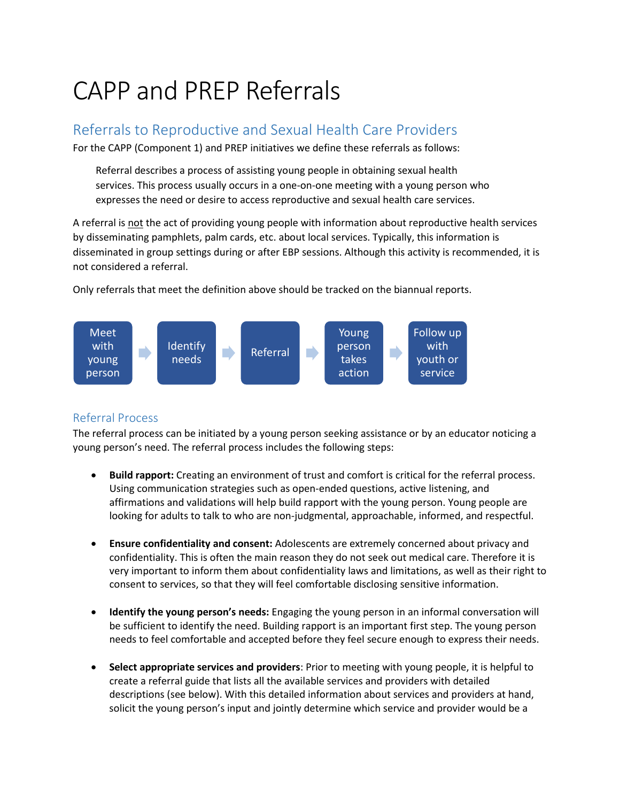# CAPP and PREP Referrals

# Referrals to Reproductive and Sexual Health Care Providers

For the CAPP (Component 1) and PREP initiatives we define these referrals as follows:

Referral describes a process of assisting young people in obtaining sexual health services. This process usually occurs in a one-on-one meeting with a young person who expresses the need or desire to access reproductive and sexual health care services.

A referral is not the act of providing young people with information about reproductive health services by disseminating pamphlets, palm cards, etc. about local services. Typically, this information is disseminated in group settings during or after EBP sessions. Although this activity is recommended, it is not considered a referral.

Only referrals that meet the definition above should be tracked on the biannual reports.



## Referral Process

The referral process can be initiated by a young person seeking assistance or by an educator noticing a young person's need. The referral process includes the following steps:

- **Build rapport:** Creating an environment of trust and comfort is critical for the referral process. Using communication strategies such as open-ended questions, active listening, and affirmations and validations will help build rapport with the young person. Young people are looking for adults to talk to who are non-judgmental, approachable, informed, and respectful.
- **Ensure confidentiality and consent:** Adolescents are extremely concerned about privacy and confidentiality. This is often the main reason they do not seek out medical care. Therefore it is very important to inform them about confidentiality laws and limitations, as well as their right to consent to services, so that they will feel comfortable disclosing sensitive information.
- **Identify the young person's needs:** Engaging the young person in an informal conversation will be sufficient to identify the need. Building rapport is an important first step. The young person needs to feel comfortable and accepted before they feel secure enough to express their needs.
- **Select appropriate services and providers**: Prior to meeting with young people, it is helpful to create a referral guide that lists all the available services and providers with detailed descriptions (see below). With this detailed information about services and providers at hand, solicit the young person's input and jointly determine which service and provider would be a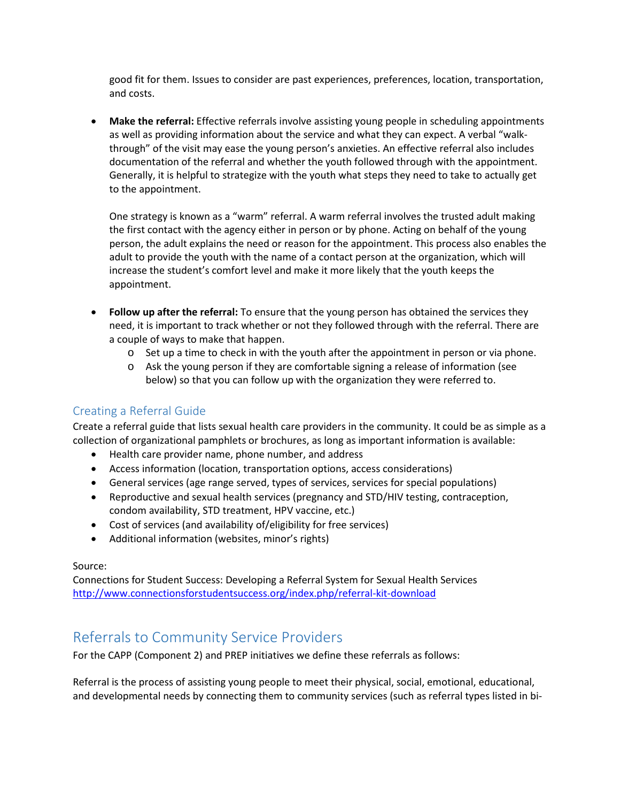good fit for them. Issues to consider are past experiences, preferences, location, transportation, and costs.

• **Make the referral:** Effective referrals involve assisting young people in scheduling appointments as well as providing information about the service and what they can expect. A verbal "walkthrough" of the visit may ease the young person's anxieties. An effective referral also includes documentation of the referral and whether the youth followed through with the appointment. Generally, it is helpful to strategize with the youth what steps they need to take to actually get to the appointment.

One strategy is known as a "warm" referral. A warm referral involves the trusted adult making the first contact with the agency either in person or by phone. Acting on behalf of the young person, the adult explains the need or reason for the appointment. This process also enables the adult to provide the youth with the name of a contact person at the organization, which will increase the student's comfort level and make it more likely that the youth keeps the appointment.

- **Follow up after the referral:** To ensure that the young person has obtained the services they need, it is important to track whether or not they followed through with the referral. There are a couple of ways to make that happen.
	- $\circ$  Set up a time to check in with the youth after the appointment in person or via phone.
	- o Ask the young person if they are comfortable signing a release of information (see below) so that you can follow up with the organization they were referred to.

### Creating a Referral Guide

Create a referral guide that lists sexual health care providers in the community. It could be as simple as a collection of organizational pamphlets or brochures, as long as important information is available:

- Health care provider name, phone number, and address
- Access information (location, transportation options, access considerations)
- General services (age range served, types of services, services for special populations)
- Reproductive and sexual health services (pregnancy and STD/HIV testing, contraception, condom availability, STD treatment, HPV vaccine, etc.)
- Cost of services (and availability of/eligibility for free services)
- Additional information (websites, minor's rights)

#### Source:

Connections for Student Success: Developing a Referral System for Sexual Health Services <http://www.connectionsforstudentsuccess.org/index.php/referral-kit-download>

## Referrals to Community Service Providers

For the CAPP (Component 2) and PREP initiatives we define these referrals as follows:

Referral is the process of assisting young people to meet their physical, social, emotional, educational, and developmental needs by connecting them to community services (such as referral types listed in bi